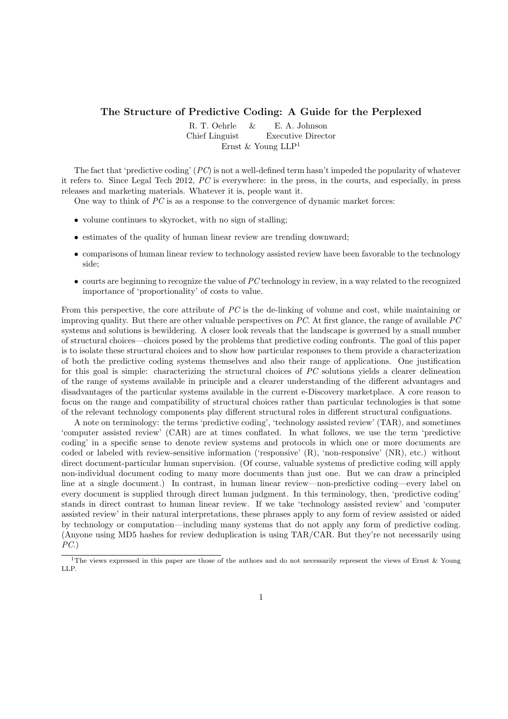## The Structure of Predictive Coding: A Guide for the Perplexed

R. T. Oehrle & E. A. Johnson Chief Linguist Executive Director Ernst & Young  $LLP<sup>1</sup>$ 

The fact that 'predictive coding'  $(PC)$  is not a well-defined term hasn't impeded the popularity of whatever it refers to. Since Legal Tech 2012, PC is everywhere: in the press, in the courts, and especially, in press releases and marketing materials. Whatever it is, people want it.

One way to think of  $PC$  is as a response to the convergence of dynamic market forces:

- volume continues to skyrocket, with no sign of stalling;
- estimates of the quality of human linear review are trending downward;
- comparisons of human linear review to technology assisted review have been favorable to the technology side;
- $\bullet$  courts are beginning to recognize the value of PC technology in review, in a way related to the recognized importance of 'proportionality' of costs to value.

From this perspective, the core attribute of PC is the de-linking of volume and cost, while maintaining or improving quality. But there are other valuable perspectives on PC. At first glance, the range of available PC systems and solutions is bewildering. A closer look reveals that the landscape is governed by a small number of structural choices—choices posed by the problems that predictive coding confronts. The goal of this paper is to isolate these structural choices and to show how particular responses to them provide a characterization of both the predictive coding systems themselves and also their range of applications. One justification for this goal is simple: characterizing the structural choices of PC solutions yields a clearer delineation of the range of systems available in principle and a clearer understanding of the different advantages and disadvantages of the particular systems available in the current e-Discovery marketplace. A core reason to focus on the range and compatibility of structural choices rather than particular technologies is that some of the relevant technology components play different structural roles in different structural configuations.

A note on terminology: the terms 'predictive coding', 'technology assisted review' (TAR), and sometimes 'computer assisted review' (CAR) are at times conflated. In what follows, we use the term 'predictive coding' in a specific sense to denote review systems and protocols in which one or more documents are coded or labeled with review-sensitive information ('responsive' (R), 'non-responsive' (NR), etc.) without direct document-particular human supervision. (Of course, valuable systems of predictive coding will apply non-individual document coding to many more documents than just one. But we can draw a principled line at a single document.) In contrast, in human linear review—non-predictive coding—every label on every document is supplied through direct human judgment. In this terminology, then, 'predictive coding' stands in direct contrast to human linear review. If we take 'technology assisted review' and 'computer assisted review' in their natural interpretations, these phrases apply to any form of review assisted or aided by technology or computation—including many systems that do not apply any form of predictive coding. (Anyone using MD5 hashes for review deduplication is using TAR/CAR. But they're not necessarily using  $PC.$ 

<sup>&</sup>lt;sup>1</sup>The views expressed in this paper are those of the authors and do not necessarily represent the views of Ernst & Young LLP.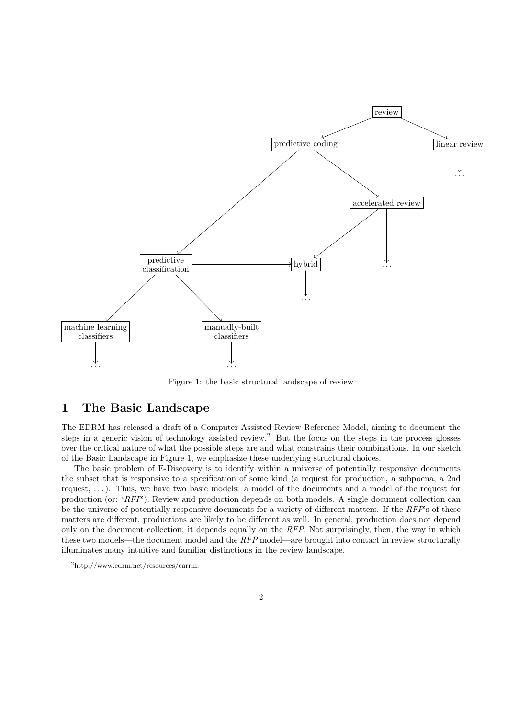

Figure 1: the basic structural landscape of review

# 1 The Basic Landscape

The EDRM has released a draft of a Computer Assisted Review Reference Model, aiming to document the steps in a generic vision of technology assisted review.<sup>2</sup> But the focus on the steps in the process glosses over the critical nature of what the possible steps are and what constrains their combinations. In our sketch of the Basic Landscape in Figure 1, we emphasize these underlying structural choices.

The basic problem of E-Discovery is to identify within a universe of potentially responsive documents the subset that is responsive to a specification of some kind (a request for production, a subpoena, a 2nd request, . . . ). Thus, we have two basic models: a model of the documents and a model of the request for production (or: 'RFP'). Review and production depends on both models. A single document collection can be the universe of potentially responsive documents for a variety of different matters. If the  $RFP$ 's of these matters are different, productions are likely to be different as well. In general, production does not depend only on the document collection; it depends equally on the RFP. Not surprisingly, then, the way in which these two models—the document model and the RFP model—are brought into contact in review structurally illuminates many intuitive and familiar distinctions in the review landscape.

<sup>2</sup>http://www.edrm.net/resources/carrm.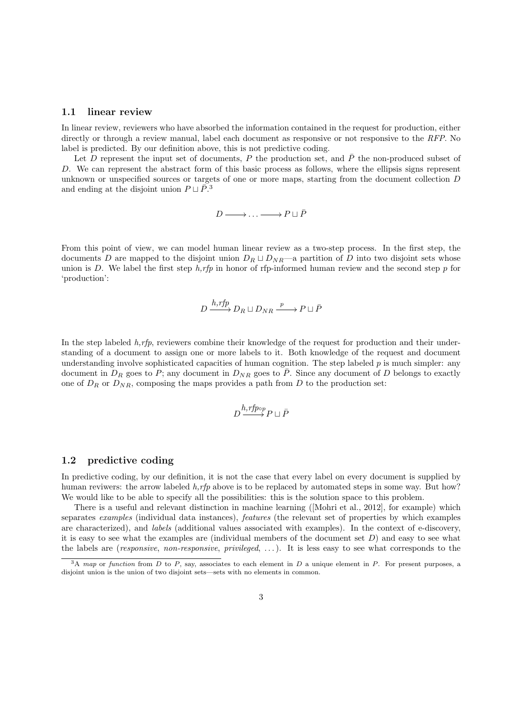#### 1.1 linear review

In linear review, reviewers who have absorbed the information contained in the request for production, either directly or through a review manual, label each document as responsive or not responsive to the RFP. No label is predicted. By our definition above, this is not predictive coding.

Let D represent the input set of documents, P the production set, and  $\bar{P}$  the non-produced subset of D. We can represent the abstract form of this basic process as follows, where the ellipsis signs represent unknown or unspecified sources or targets of one or more maps, starting from the document collection D and ending at the disjoint union  $P \sqcup \overline{P}^3$ .

 $D \longrightarrow \ldots \longrightarrow P \sqcup \bar{P}$ 

From this point of view, we can model human linear review as a two-step process. In the first step, the documents D are mapped to the disjoint union  $D_R \sqcup D_{NR}$ —a partition of D into two disjoint sets whose union is D. We label the first step  $h$ ,rfp in honor of rfp-informed human review and the second step p for 'production':

$$
D \xrightarrow{h,rfp} D_R \sqcup D_{NR} \xrightarrow{p} P \sqcup \overline{P}
$$

In the step labeled  $h, rfp$ , reviewers combine their knowledge of the request for production and their understanding of a document to assign one or more labels to it. Both knowledge of the request and document understanding involve sophisticated capacities of human cognition. The step labeled  $p$  is much simpler: any document in  $D_R$  goes to P; any document in  $D_{NR}$  goes to  $\overline{P}$ . Since any document of D belongs to exactly one of  $D_R$  or  $D_{NR}$ , composing the maps provides a path from D to the production set:

$$
D \xrightarrow{h,rfp \circ p} P \sqcup \bar{P}
$$

## 1.2 predictive coding

In predictive coding, by our definition, it is not the case that every label on every document is supplied by human reviwers: the arrow labeled  $h$ , rfp above is to be replaced by automated steps in some way. But how? We would like to be able to specify all the possibilities: this is the solution space to this problem.

There is a useful and relevant distinction in machine learning ([Mohri et al., 2012], for example) which separates examples (individual data instances), features (the relevant set of properties by which examples are characterized), and labels (additional values associated with examples). In the context of e-discovery, it is easy to see what the examples are (individual members of the document set  $D$ ) and easy to see what the labels are (*responsive, non-responsive, privileged, ...*). It is less easy to see what corresponds to the

 $3A$  map or function from D to P, say, associates to each element in D a unique element in P. For present purposes, a disjoint union is the union of two disjoint sets—sets with no elements in common.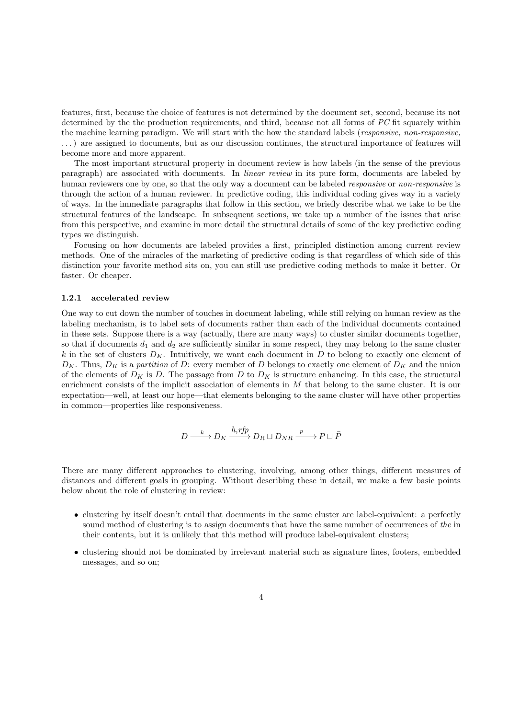features, first, because the choice of features is not determined by the document set, second, because its not determined by the the production requirements, and third, because not all forms of PC fit squarely within the machine learning paradigm. We will start with the how the standard labels (responsive, non-responsive, . . .) are assigned to documents, but as our discussion continues, the structural importance of features will become more and more apparent.

The most important structural property in document review is how labels (in the sense of the previous paragraph) are associated with documents. In linear review in its pure form, documents are labeled by human reviewers one by one, so that the only way a document can be labeled *responsive* or *non-responsive* is through the action of a human reviewer. In predictive coding, this individual coding gives way in a variety of ways. In the immediate paragraphs that follow in this section, we briefly describe what we take to be the structural features of the landscape. In subsequent sections, we take up a number of the issues that arise from this perspective, and examine in more detail the structural details of some of the key predictive coding types we distinguish.

Focusing on how documents are labeled provides a first, principled distinction among current review methods. One of the miracles of the marketing of predictive coding is that regardless of which side of this distinction your favorite method sits on, you can still use predictive coding methods to make it better. Or faster. Or cheaper.

### 1.2.1 accelerated review

One way to cut down the number of touches in document labeling, while still relying on human review as the labeling mechanism, is to label sets of documents rather than each of the individual documents contained in these sets. Suppose there is a way (actually, there are many ways) to cluster similar documents together, so that if documents  $d_1$  and  $d_2$  are sufficiently similar in some respect, they may belong to the same cluster k in the set of clusters  $D_K$ . Intuitively, we want each document in D to belong to exactly one element of  $D_K$ . Thus,  $D_K$  is a partition of D: every member of D belongs to exactly one element of  $D_K$  and the union of the elements of  $D_K$  is D. The passage from D to  $D_K$  is structure enhancing. In this case, the structural enrichment consists of the implicit association of elements in  $M$  that belong to the same cluster. It is our expectation—well, at least our hope—that elements belonging to the same cluster will have other properties in common—properties like responsiveness.

$$
D \xrightarrow{k} D_K \xrightarrow{h,rfp} D_R \sqcup D_{NR} \xrightarrow{p} P \sqcup \overline{P}
$$

There are many different approaches to clustering, involving, among other things, different measures of distances and different goals in grouping. Without describing these in detail, we make a few basic points below about the role of clustering in review:

- clustering by itself doesn't entail that documents in the same cluster are label-equivalent: a perfectly sound method of clustering is to assign documents that have the same number of occurrences of the in their contents, but it is unlikely that this method will produce label-equivalent clusters;
- clustering should not be dominated by irrelevant material such as signature lines, footers, embedded messages, and so on;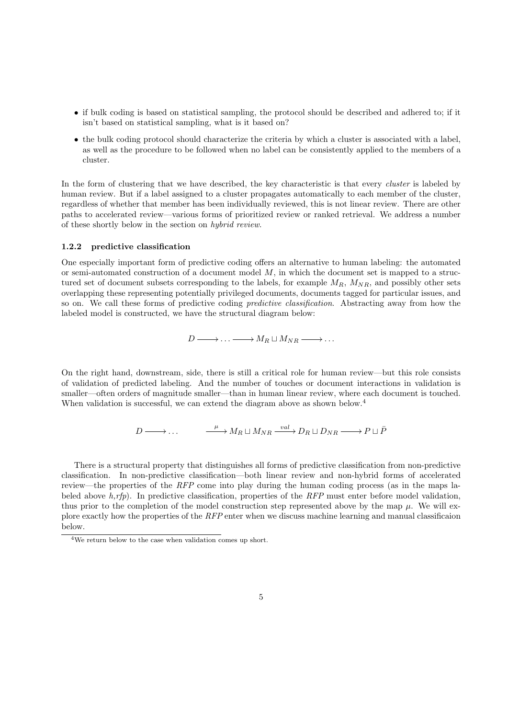- if bulk coding is based on statistical sampling, the protocol should be described and adhered to; if it isn't based on statistical sampling, what is it based on?
- the bulk coding protocol should characterize the criteria by which a cluster is associated with a label, as well as the procedure to be followed when no label can be consistently applied to the members of a cluster.

In the form of clustering that we have described, the key characteristic is that every *cluster* is labeled by human review. But if a label assigned to a cluster propagates automatically to each member of the cluster, regardless of whether that member has been individually reviewed, this is not linear review. There are other paths to accelerated review—various forms of prioritized review or ranked retrieval. We address a number of these shortly below in the section on hybrid review.

## 1.2.2 predictive classification

One especially important form of predictive coding offers an alternative to human labeling: the automated or semi-automated construction of a document model  $M$ , in which the document set is mapped to a structured set of document subsets corresponding to the labels, for example  $M_R$ ,  $M_{NR}$ , and possibly other sets overlapping these representing potentially privileged documents, documents tagged for particular issues, and so on. We call these forms of predictive coding predictive classification. Abstracting away from how the labeled model is constructed, we have the structural diagram below:

$$
D \longrightarrow \ldots \longrightarrow M_R \sqcup M_{NR} \longrightarrow \ldots
$$

On the right hand, downstream, side, there is still a critical role for human review—but this role consists of validation of predicted labeling. And the number of touches or document interactions in validation is smaller—often orders of magnitude smaller—than in human linear review, where each document is touched. When validation is successful, we can extend the diagram above as shown below.<sup>4</sup>

$$
D \longrightarrow \dots \qquad \xrightarrow{\mu} M_R \sqcup M_{NR} \xrightarrow{\text{val}} D_R \sqcup D_{NR} \longrightarrow P \sqcup \overline{P}
$$

There is a structural property that distinguishes all forms of predictive classification from non-predictive classification. In non-predictive classification—both linear review and non-hybrid forms of accelerated review—the properties of the RFP come into play during the human coding process (as in the maps labeled above  $h, rfp$ ). In predictive classification, properties of the RFP must enter before model validation, thus prior to the completion of the model construction step represented above by the map  $\mu$ . We will explore exactly how the properties of the RFP enter when we discuss machine learning and manual classificaion below.

<sup>4</sup>We return below to the case when validation comes up short.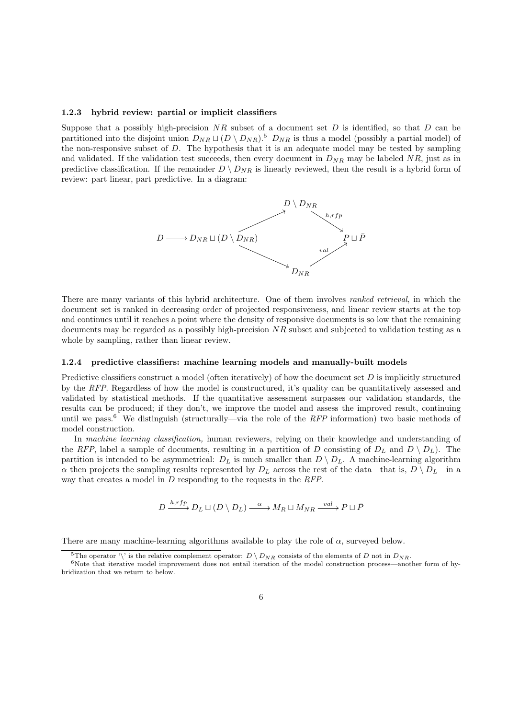#### 1.2.3 hybrid review: partial or implicit classifiers

Suppose that a possibly high-precision  $NR$  subset of a document set D is identified, so that D can be partitioned into the disjoint union  $D_{NR} \sqcup (D \setminus D_{NR})$ .<sup>5</sup>  $D_{NR}$  is thus a model (possibly a partial model) of the non-responsive subset of D. The hypothesis that it is an adequate model may be tested by sampling and validated. If the validation test succeeds, then every document in  $D_{NR}$  may be labeled  $NR$ , just as in predictive classification. If the remainder  $D \setminus D_{NR}$  is linearly reviewed, then the result is a hybrid form of review: part linear, part predictive. In a diagram:



There are many variants of this hybrid architecture. One of them involves ranked retrieval, in which the document set is ranked in decreasing order of projected responsiveness, and linear review starts at the top and continues until it reaches a point where the density of responsive documents is so low that the remaining documents may be regarded as a possibly high-precision NR subset and subjected to validation testing as a whole by sampling, rather than linear review.

#### 1.2.4 predictive classifiers: machine learning models and manually-built models

Predictive classifiers construct a model (often iteratively) of how the document set  $D$  is implicitly structured by the RFP. Regardless of how the model is constructured, it's quality can be quantitatively assessed and validated by statistical methods. If the quantitative assessment surpasses our validation standards, the results can be produced; if they don't, we improve the model and assess the improved result, continuing until we pass.<sup>6</sup> We distinguish (structurally—via the role of the RFP information) two basic methods of model construction.

In machine learning classification, human reviewers, relying on their knowledge and understanding of the RFP, label a sample of documents, resulting in a partition of D consisting of  $D<sub>L</sub>$  and  $D \setminus D<sub>L</sub>$ . The partition is intended to be asymmetrical:  $D_L$  is much smaller than  $D \setminus D_L$ . A machine-learning algorithm  $\alpha$  then projects the sampling results represented by  $D_L$  across the rest of the data—that is,  $D \setminus D_L$ —in a way that creates a model in D responding to the requests in the RFP.

$$
D \xrightarrow{h,rfp} D_L \sqcup (D \setminus D_L) \xrightarrow{\alpha} M_R \sqcup M_{NR} \xrightarrow{val} P \sqcup \overline{P}
$$

There are many machine-learning algorithms available to play the role of  $\alpha$ , surveyed below.

<sup>&</sup>lt;sup>5</sup>The operator '\' is the relative complement operator:  $D \setminus D_{NR}$  consists of the elements of D not in  $D_{NR}$ .

 $6$ Note that iterative model improvement does not entail iteration of the model construction process—another form of hybridization that we return to below.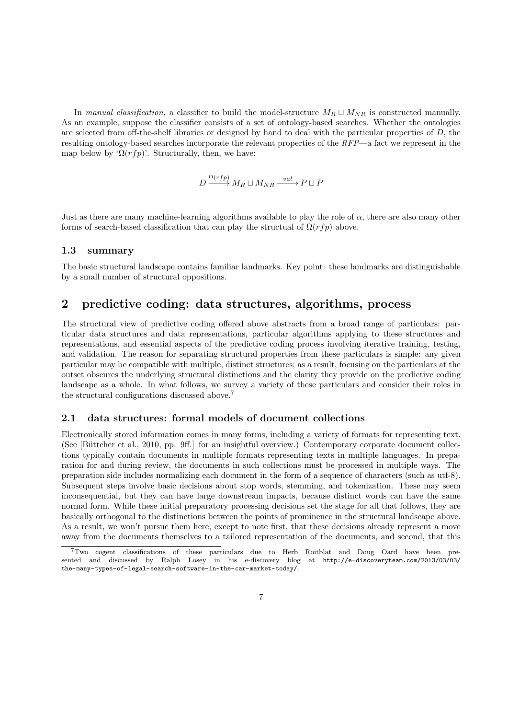In manual classification, a classifier to build the model-structure  $M_R \sqcup M_{NR}$  is constructed manually. As an example, suppose the classifier consists of a set of ontology-based searches. Whether the ontologies are selected from off-the-shelf libraries or designed by hand to deal with the particular properties of D, the resulting ontology-based searches incorporate the relevant properties of the RFP—a fact we represent in the map below by ' $\Omega(rfp)$ '. Structurally, then, we have:

$$
D \xrightarrow{\Omega(rfp)} M_R \sqcup M_{NR} \xrightarrow{val} P \sqcup \overline{P}
$$

Just as there are many machine-learning algorithms available to play the role of  $\alpha$ , there are also many other forms of search-based classification that can play the structual of  $\Omega(rfp)$  above.

## 1.3 summary

The basic structural landscape contains familiar landmarks. Key point: these landmarks are distinguishable by a small number of structural oppositions.

## 2 predictive coding: data structures, algorithms, process

The structural view of predictive coding offered above abstracts from a broad range of particulars: particular data structures and data representations, particular algorithms applying to these structures and representations, and essential aspects of the predictive coding process involving iterative training, testing, and validation. The reason for separating structural properties from these particulars is simple: any given particular may be compatible with multiple, distinct structures; as a result, focusing on the particulars at the outset obscures the underlying structural distinctions and the clarity they provide on the predictive coding landscape as a whole. In what follows, we survey a variety of these particulars and consider their roles in the structural configurations discussed above.<sup>7</sup>

## 2.1 data structures: formal models of document collections

Electronically stored information comes in many forms, including a variety of formats for representing text. (See [Büttcher et al., 2010, pp. 9ff.] for an insightful overview.) Contemporary corporate document collections typically contain documents in multiple formats representing texts in multiple languages. In preparation for and during review, the documents in such collections must be processed in multiple ways. The preparation side includes normalizing each document in the form of a sequence of characters (such as utf-8). Subsequent steps involve basic decisions about stop words, stemming, and tokenization. These may seem inconsequential, but they can have large downstream impacts, because distinct words can have the same normal form. While these initial preparatory processing decisions set the stage for all that follows, they are basically orthogonal to the distinctions between the points of prominence in the structural landscape above. As a result, we won't pursue them here, except to note first, that these decisions already represent a move away from the documents themselves to a tailored representation of the documents, and second, that this

<sup>7</sup>Two cogent classifications of these particulars due to Herb Roitblat and Doug Oard have been presented and discussed by Ralph Losey in his e-discovery blog at http://e-discoveryteam.com/2013/03/03/ the-many-types-of-legal-search-software-in-the-car-market-today/.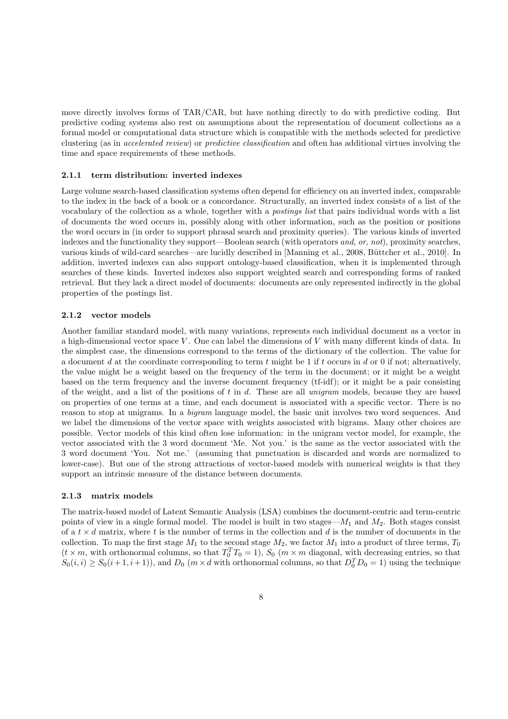move directly involves forms of TAR/CAR, but have nothing directly to do with predictive coding. But predictive coding systems also rest on assumptions about the representation of document collections as a formal model or computational data structure which is compatible with the methods selected for predictive clustering (as in accelerated review) or predictive classification and often has additional virtues involving the time and space requirements of these methods.

#### 2.1.1 term distribution: inverted indexes

Large volume search-based classification systems often depend for efficiency on an inverted index, comparable to the index in the back of a book or a concordance. Structurally, an inverted index consists of a list of the vocabulary of the collection as a whole, together with a postings list that pairs individual words with a list of documents the word occurs in, possibly along with other information, such as the position or positions the word occurs in (in order to support phrasal search and proximity queries). The various kinds of inverted indexes and the functionality they support—Boolean search (with operators and, or, not), proximity searches, various kinds of wild-card searches—are lucidly described in [Manning et al., 2008, Büttcher et al., 2010]. In addition, inverted indexes can also support ontology-based classification, when it is implemented through searches of these kinds. Inverted indexes also support weighted search and corresponding forms of ranked retrieval. But they lack a direct model of documents: documents are only represented indirectly in the global properties of the postings list.

#### 2.1.2 vector models

Another familiar standard model, with many variations, represents each individual document as a vector in a high-dimensional vector space V . One can label the dimensions of V with many different kinds of data. In the simplest case, the dimensions correspond to the terms of the dictionary of the collection. The value for a document d at the coordinate corresponding to term t might be 1 if t occurs in d or 0 if not; alternatively, the value might be a weight based on the frequency of the term in the document; or it might be a weight based on the term frequency and the inverse document frequency (tf-idf); or it might be a pair consisting of the weight, and a list of the positions of t in d. These are all unigram models, because they are based on properties of one terms at a time, and each document is associated with a specific vector. There is no reason to stop at unigrams. In a bigram language model, the basic unit involves two word sequences. And we label the dimensions of the vector space with weights associated with bigrams. Many other choices are possible. Vector models of this kind often lose information: in the unigram vector model, for example, the vector associated with the 3 word document 'Me. Not you.' is the same as the vector associated with the 3 word document 'You. Not me.' (assuming that punctuation is discarded and words are normalized to lower-case). But one of the strong attractions of vector-based models with numerical weights is that they support an intrinsic measure of the distance between documents.

### 2.1.3 matrix models

The matrix-based model of Latent Semantic Analysis (LSA) combines the document-centric and term-centric points of view in a single formal model. The model is built in two stages— $M_1$  and  $M_2$ . Both stages consist of a  $t \times d$  matrix, where t is the number of terms in the collection and d is the number of documents in the collection. To map the first stage  $M_1$  to the second stage  $M_2$ , we factor  $M_1$  into a product of three terms,  $T_0$  $(t \times m$ , with orthonormal columns, so that  $T_0^T T_0 = 1$ ,  $S_0$   $(m \times m$  diagonal, with decreasing entries, so that  $S_0(i,i) \geq S_0(i+1,i+1)$ , and  $D_0$   $(m \times d$  with orthonormal columns, so that  $D_0^T D_0 = 1$ ) using the technique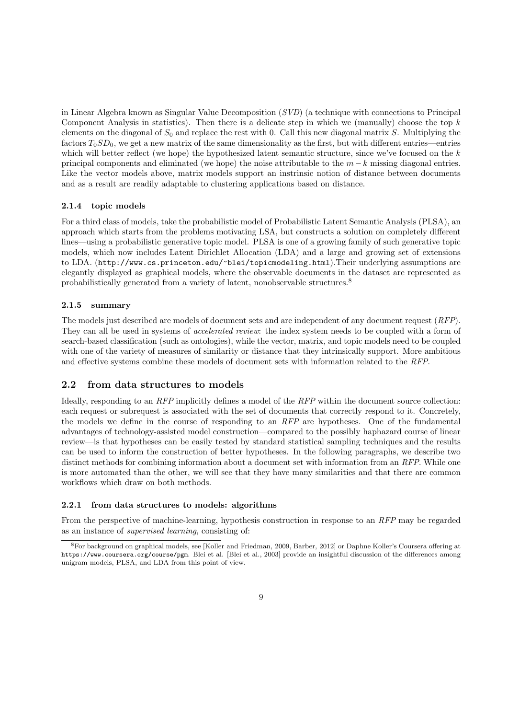in Linear Algebra known as Singular Value Decomposition (SVD) (a technique with connections to Principal Component Analysis in statistics). Then there is a delicate step in which we (manually) choose the top  $k$ elements on the diagonal of  $S_0$  and replace the rest with 0. Call this new diagonal matrix S. Multiplying the factors  $T_0SD_0$ , we get a new matrix of the same dimensionality as the first, but with different entries—entries which will better reflect (we hope) the hypothesized latent semantic structure, since we've focused on the k principal components and eliminated (we hope) the noise attributable to the  $m - k$  missing diagonal entries. Like the vector models above, matrix models support an instrinsic notion of distance between documents and as a result are readily adaptable to clustering applications based on distance.

### 2.1.4 topic models

For a third class of models, take the probabilistic model of Probabilistic Latent Semantic Analysis (PLSA), an approach which starts from the problems motivating LSA, but constructs a solution on completely different lines—using a probabilistic generative topic model. PLSA is one of a growing family of such generative topic models, which now includes Latent Dirichlet Allocation (LDA) and a large and growing set of extensions to LDA. (http://www.cs.princeton.edu/~blei/topicmodeling.html).Their underlying assumptions are elegantly displayed as graphical models, where the observable documents in the dataset are represented as probabilistically generated from a variety of latent, nonobservable structures.<sup>8</sup>

## 2.1.5 summary

The models just described are models of document sets and are independent of any document request (RFP). They can all be used in systems of *accelerated review*: the index system needs to be coupled with a form of search-based classification (such as ontologies), while the vector, matrix, and topic models need to be coupled with one of the variety of measures of similarity or distance that they intrinsically support. More ambitious and effective systems combine these models of document sets with information related to the RFP.

## 2.2 from data structures to models

Ideally, responding to an RFP implicitly defines a model of the RFP within the document source collection: each request or subrequest is associated with the set of documents that correctly respond to it. Concretely, the models we define in the course of responding to an RFP are hypotheses. One of the fundamental advantages of technology-assisted model construction—compared to the possibly haphazard course of linear review—is that hypotheses can be easily tested by standard statistical sampling techniques and the results can be used to inform the construction of better hypotheses. In the following paragraphs, we describe two distinct methods for combining information about a document set with information from an RFP. While one is more automated than the other, we will see that they have many similarities and that there are common workflows which draw on both methods.

#### 2.2.1 from data structures to models: algorithms

From the perspective of machine-learning, hypothesis construction in response to an RFP may be regarded as an instance of supervised learning, consisting of:

<sup>8</sup>For background on graphical models, see [Koller and Friedman, 2009, Barber, 2012] or Daphne Koller's Coursera offering at https://www.coursera.org/course/pgm. Blei et al. [Blei et al., 2003] provide an insightful discussion of the differences among unigram models, PLSA, and LDA from this point of view.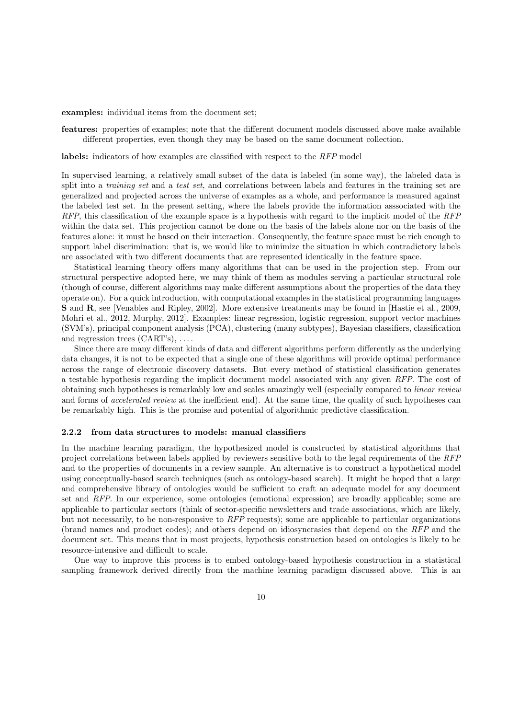examples: individual items from the document set;

features: properties of examples; note that the different document models discussed above make available different properties, even though they may be based on the same document collection.

labels: indicators of how examples are classified with respect to the RFP model

In supervised learning, a relatively small subset of the data is labeled (in some way), the labeled data is split into a *training set* and a test set, and correlations between labels and features in the training set are generalized and projected across the universe of examples as a whole, and performance is measured against the labeled test set. In the present setting, where the labels provide the information asssociated with the  $RFP$ , this classification of the example space is a hypothesis with regard to the implicit model of the  $RFP$ within the data set. This projection cannot be done on the basis of the labels alone nor on the basis of the features alone: it must be based on their interaction. Consequently, the feature space must be rich enough to support label discrimination: that is, we would like to minimize the situation in which contradictory labels are associated with two different documents that are represented identically in the feature space.

Statistical learning theory offers many algorithms that can be used in the projection step. From our structural perspective adopted here, we may think of them as modules serving a particular structural role (though of course, different algorithms may make different assumptions about the properties of the data they operate on). For a quick introduction, with computational examples in the statistical programming languages S and R, see [Venables and Ripley, 2002]. More extensive treatments may be found in [Hastie et al., 2009, Mohri et al., 2012, Murphy, 2012]. Examples: linear regression, logistic regression, support vector machines (SVM's), principal component analysis (PCA), clustering (many subtypes), Bayesian classifiers, classification and regression trees  $(CART's), \ldots$ .

Since there are many different kinds of data and different algorithms perform differently as the underlying data changes, it is not to be expected that a single one of these algorithms will provide optimal performance across the range of electronic discovery datasets. But every method of statistical classification generates a testable hypothesis regarding the implicit document model associated with any given RFP. The cost of obtaining such hypotheses is remarkably low and scales amazingly well (especially compared to linear review and forms of *accelerated review* at the inefficient end). At the same time, the quality of such hypotheses can be remarkably high. This is the promise and potential of algorithmic predictive classification.

#### 2.2.2 from data structures to models: manual classifiers

In the machine learning paradigm, the hypothesized model is constructed by statistical algorithms that project correlations between labels applied by reviewers sensitive both to the legal requirements of the RFP and to the properties of documents in a review sample. An alternative is to construct a hypothetical model using conceptually-based search techniques (such as ontology-based search). It might be hoped that a large and comprehensive library of ontologies would be sufficient to craft an adequate model for any document set and RFP. In our experience, some ontologies (emotional expression) are broadly applicable; some are applicable to particular sectors (think of sector-specific newsletters and trade associations, which are likely, but not necessarily, to be non-responsive to RFP requests); some are applicable to particular organizations (brand names and product codes); and others depend on idiosyncrasies that depend on the RFP and the document set. This means that in most projects, hypothesis construction based on ontologies is likely to be resource-intensive and difficult to scale.

One way to improve this process is to embed ontology-based hypothesis construction in a statistical sampling framework derived directly from the machine learning paradigm discussed above. This is an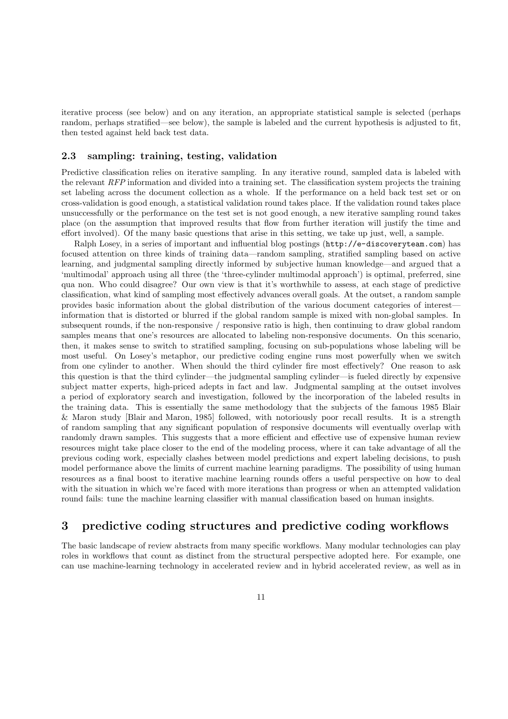iterative process (see below) and on any iteration, an appropriate statistical sample is selected (perhaps random, perhaps stratified—see below), the sample is labeled and the current hypothesis is adjusted to fit, then tested against held back test data.

### 2.3 sampling: training, testing, validation

Predictive classification relies on iterative sampling. In any iterative round, sampled data is labeled with the relevant RFP information and divided into a training set. The classification system projects the training set labeling across the document collection as a whole. If the performance on a held back test set or on cross-validation is good enough, a statistical validation round takes place. If the validation round takes place unsuccessfully or the performance on the test set is not good enough, a new iterative sampling round takes place (on the assumption that improved results that flow from further iteration will justify the time and effort involved). Of the many basic questions that arise in this setting, we take up just, well, a sample.

Ralph Losey, in a series of important and influential blog postings (http://e-discoveryteam.com) has focused attention on three kinds of training data—random sampling, stratified sampling based on active learning, and judgmental sampling directly informed by subjective human knowledge—and argued that a 'multimodal' approach using all three (the 'three-cylinder multimodal approach') is optimal, preferred, sine qua non. Who could disagree? Our own view is that it's worthwhile to assess, at each stage of predictive classification, what kind of sampling most effectively advances overall goals. At the outset, a random sample provides basic information about the global distribution of the various document categories of interest information that is distorted or blurred if the global random sample is mixed with non-global samples. In subsequent rounds, if the non-responsive / responsive ratio is high, then continuing to draw global random samples means that one's resources are allocated to labeling non-responsive documents. On this scenario, then, it makes sense to switch to stratified sampling, focusing on sub-populations whose labeling will be most useful. On Losey's metaphor, our predictive coding engine runs most powerfully when we switch from one cylinder to another. When should the third cylinder fire most effectively? One reason to ask this question is that the third cylinder—the judgmental sampling cylinder—is fueled directly by expensive subject matter experts, high-priced adepts in fact and law. Judgmental sampling at the outset involves a period of exploratory search and investigation, followed by the incorporation of the labeled results in the training data. This is essentially the same methodology that the subjects of the famous 1985 Blair & Maron study [Blair and Maron, 1985] followed, with notoriously poor recall results. It is a strength of random sampling that any significant population of responsive documents will eventually overlap with randomly drawn samples. This suggests that a more efficient and effective use of expensive human review resources might take place closer to the end of the modeling process, where it can take advantage of all the previous coding work, especially clashes between model predictions and expert labeling decisions, to push model performance above the limits of current machine learning paradigms. The possibility of using human resources as a final boost to iterative machine learning rounds offers a useful perspective on how to deal with the situation in which we're faced with more iterations than progress or when an attempted validation round fails: tune the machine learning classifier with manual classification based on human insights.

## 3 predictive coding structures and predictive coding workflows

The basic landscape of review abstracts from many specific workflows. Many modular technologies can play roles in workflows that count as distinct from the structural perspective adopted here. For example, one can use machine-learning technology in accelerated review and in hybrid accelerated review, as well as in